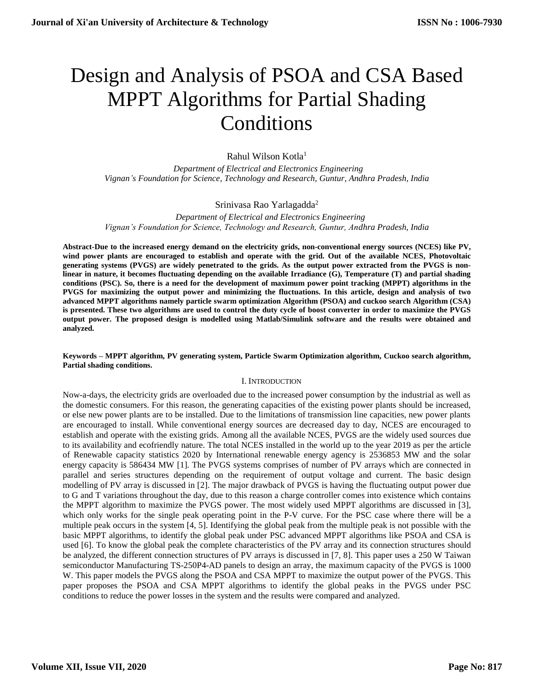# Design and Analysis of PSOA and CSA Based MPPT Algorithms for Partial Shading Conditions

# Rahul Wilson Kotla<sup>1</sup>

 *Department of Electrical and Electronics Engineering Vignan's Foundation for Science, Technology and Research, Guntur, Andhra Pradesh, India*

# Srinivasa Rao Yarlagadda<sup>2</sup>

 *Department of Electrical and Electronics Engineering Vignan's Foundation for Science, Technology and Research, Guntur, Andhra Pradesh, India*

**Abstract-Due to the increased energy demand on the electricity grids, non-conventional energy sources (NCES) like PV, wind power plants are encouraged to establish and operate with the grid. Out of the available NCES, Photovoltaic generating systems (PVGS) are widely penetrated to the grids. As the output power extracted from the PVGS is nonlinear in nature, it becomes fluctuating depending on the available Irradiance (G), Temperature (T) and partial shading conditions (PSC). So, there is a need for the development of maximum power point tracking (MPPT) algorithms in the PVGS for maximizing the output power and minimizing the fluctuations. In this article, design and analysis of two advanced MPPT algorithms namely particle swarm optimization Algorithm (PSOA) and cuckoo search Algorithm (CSA) is presented. These two algorithms are used to control the duty cycle of boost converter in order to maximize the PVGS output power. The proposed design is modelled using Matlab/Simulink software and the results were obtained and analyzed.**

### **Keywords – MPPT algorithm, PV generating system, Particle Swarm Optimization algorithm, Cuckoo search algorithm, Partial shading conditions.**

# I. INTRODUCTION

Now-a-days, the electricity grids are overloaded due to the increased power consumption by the industrial as well as the domestic consumers. For this reason, the generating capacities of the existing power plants should be increased, or else new power plants are to be installed. Due to the limitations of transmission line capacities, new power plants are encouraged to install. While conventional energy sources are decreased day to day, NCES are encouraged to establish and operate with the existing grids. Among all the available NCES, PVGS are the widely used sources due to its availability and ecofriendly nature. The total NCES installed in the world up to the year 2019 as per the article of Renewable capacity statistics 2020 by International renewable energy agency is 2536853 MW and the solar energy capacity is 586434 MW [1]. The PVGS systems comprises of number of PV arrays which are connected in parallel and series structures depending on the requirement of output voltage and current. The basic design modelling of PV array is discussed in [2]. The major drawback of PVGS is having the fluctuating output power due to G and T variations throughout the day, due to this reason a charge controller comes into existence which contains the MPPT algorithm to maximize the PVGS power. The most widely used MPPT algorithms are discussed in [3], which only works for the single peak operating point in the P-V curve. For the PSC case where there will be a multiple peak occurs in the system [4, 5]. Identifying the global peak from the multiple peak is not possible with the basic MPPT algorithms, to identify the global peak under PSC advanced MPPT algorithms like PSOA and CSA is used [6]. To know the global peak the complete characteristics of the PV array and its connection structures should be analyzed, the different connection structures of PV arrays is discussed in [7, 8]. This paper uses a 250 W Taiwan semiconductor Manufacturing TS-250P4-AD panels to design an array, the maximum capacity of the PVGS is 1000 W. This paper models the PVGS along the PSOA and CSA MPPT to maximize the output power of the PVGS. This paper proposes the PSOA and CSA MPPT algorithms to identify the global peaks in the PVGS under PSC conditions to reduce the power losses in the system and the results were compared and analyzed.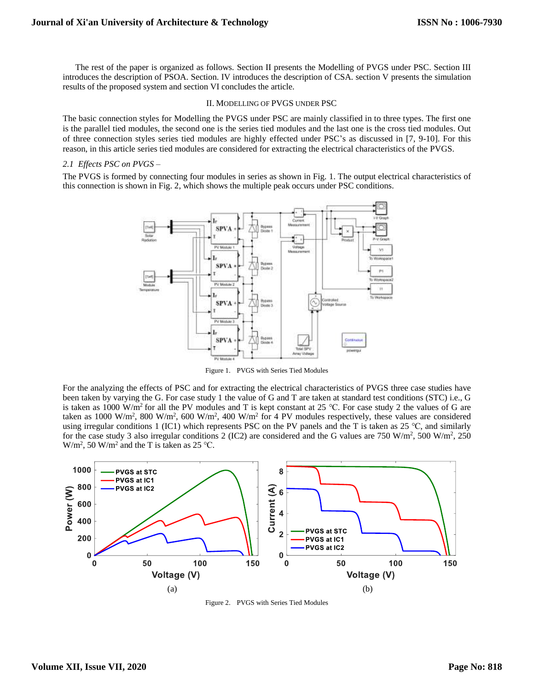The rest of the paper is organized as follows. Section II presents the Modelling of PVGS under PSC. Section III introduces the description of PSOA. Section. IV introduces the description of CSA. section V presents the simulation results of the proposed system and section VI concludes the article.

#### II. MODELLING OF PVGS UNDER PSC

The basic connection styles for Modelling the PVGS under PSC are mainly classified in to three types. The first one is the parallel tied modules, the second one is the series tied modules and the last one is the cross tied modules. Out of three connection styles series tied modules are highly effected under PSC's as discussed in [7, 9-10]. For this reason, in this article series tied modules are considered for extracting the electrical characteristics of the PVGS.

## *2.1 Effects PSC on PVGS –*

The PVGS is formed by connecting four modules in series as shown in Fig. 1. The output electrical characteristics of this connection is shown in Fig. 2, which shows the multiple peak occurs under PSC conditions.



Figure 1. PVGS with Series Tied Modules

For the analyzing the effects of PSC and for extracting the electrical characteristics of PVGS three case studies have been taken by varying the G. For case study 1 the value of G and T are taken at standard test conditions (STC) i.e., G is taken as 1000 W/m<sup>2</sup> for all the PV modules and T is kept constant at 25 °C. For case study 2 the values of G are taken as 1000 W/m<sup>2</sup>, 800 W/m<sup>2</sup>, 600 W/m<sup>2</sup>, 400 W/m<sup>2</sup> for 4 PV modules respectively, these values are considered using irregular conditions 1 (IC1) which represents PSC on the PV panels and the T is taken as 25 °C, and similarly for the case study 3 also irregular conditions 2 (IC2) are considered and the G values are 750 W/m<sup>2</sup>, 500 W/m<sup>2</sup>, 250  $W/m^2$ , 50 W/m<sup>2</sup> and the T is taken as 25 °C.



Figure 2. PVGS with Series Tied Modules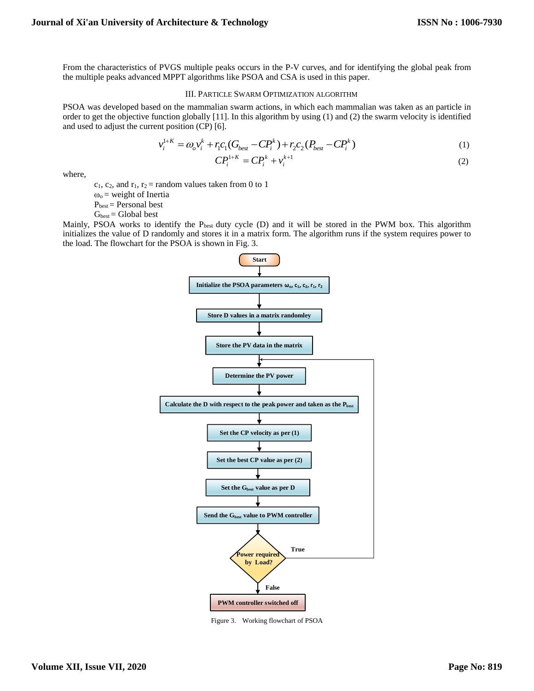From the characteristics of PVGS multiple peaks occurs in the P-V curves, and for identifying the global peak from the multiple peaks advanced MPPT algorithms like PSOA and CSA is used in this paper.

#### III. PARTICLE SWARM OPTIMIZATION ALGORITHM

PSOA was developed based on the mammalian swarm actions, in which each mammalian was taken as an particle in order to get the objective function globally [11]. In this algorithm by using (1) and (2) the swarm velocity is identified and used to adjust the current position (CP) [6].

$$
v_i^{1+K} = \omega_o v_i^k + r_i c_1 (G_{best} - C P_i^k) + r_2 c_2 (P_{best} - C P_i^k)
$$
\n(1)

$$
CP_i^{1+K} = CP_i^k + v_i^{k+1}
$$
\n<sup>(2)</sup>

where,

 $c_1$ ,  $c_2$ , and  $r_1$ ,  $r_2$  = random values taken from 0 to 1

 $\omega_0$  = weight of Inertia

 $P_{best}$  = Personal best

 $G<sub>best</sub> = Global best$ 

Mainly, PSOA works to identify the  $P_{best}$  duty cycle (D) and it will be stored in the PWM box. This algorithm initializes the value of D randomly and stores it in a matrix form. The algorithm runs if the system requires power to the load. The flowchart for the PSOA is shown in Fig. 3.



Figure 3. Working flowchart of PSOA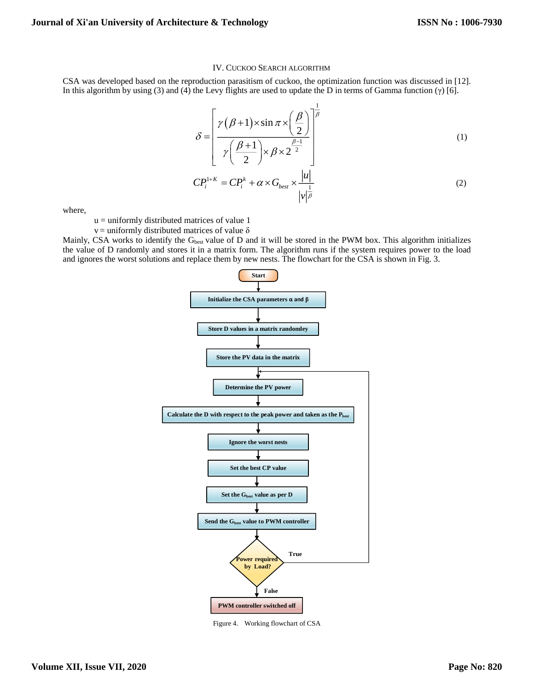#### IV. CUCKOO SEARCH ALGORITHM

CSA was developed based on the reproduction parasitism of cuckoo, the optimization function was discussed in [12]. In this algorithm by using (3) and (4) the Levy flights are used to update the D in terms of Gamma function (γ) [6].

$$
\delta = \left[ \frac{\gamma(\beta+1) \times \sin \pi \times \left(\frac{\beta}{2}\right)}{\gamma \left(\frac{\beta+1}{2}\right) \times \beta \times 2^{\frac{\beta-1}{2}}} \right]^{\frac{1}{\beta}}
$$
\n
$$
CP_i^{1+K} = CP_i^k + \alpha \times G_{best} \times \frac{|u|}{|v|^{\beta}}
$$
\n(2)

where,

 $u =$  uniformly distributed matrices of value 1

 $v =$  uniformly distributed matrices of value  $\delta$ 

Mainly, CSA works to identify the  $G_{best}$  value of D and it will be stored in the PWM box. This algorithm initializes the value of D randomly and stores it in a matrix form. The algorithm runs if the system requires power to the load and ignores the worst solutions and replace them by new nests. The flowchart for the CSA is shown in Fig. 3.



Figure 4. Working flowchart of CSA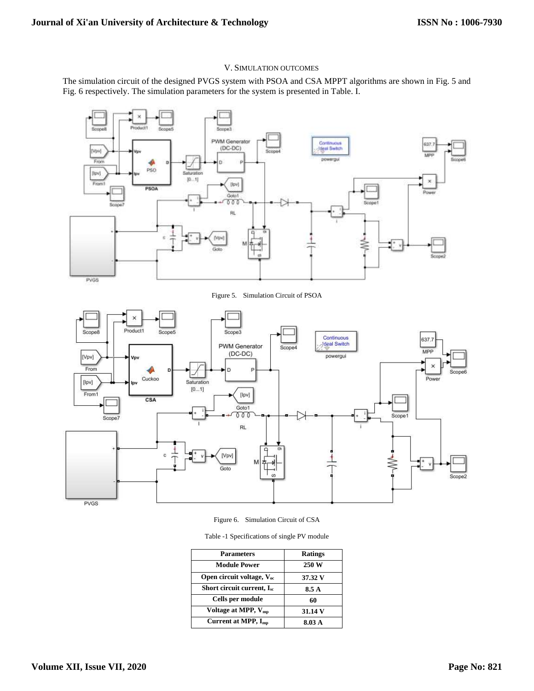## V. SIMULATION OUTCOMES

The simulation circuit of the designed PVGS system with PSOA and CSA MPPT algorithms are shown in Fig. 5 and Fig. 6 respectively. The simulation parameters for the system is presented in Table. I.



Figure 5. Simulation Circuit of PSOA



Figure 6. Simulation Circuit of CSA

Table -1 Specifications of single PV module

| <b>Parameters</b>               | <b>Ratings</b> |
|---------------------------------|----------------|
| <b>Module Power</b>             | 250 W          |
| Open circuit voltage, $V_{oc}$  | 37.32 V        |
| Short circuit current, $I_{sc}$ | 8.5 A          |
| Cells per module                | 60             |
| Voltage at MPP, V <sub>mp</sub> | 31.14 V        |
| Current at MPP, $I_{mn}$        | 8.03 A         |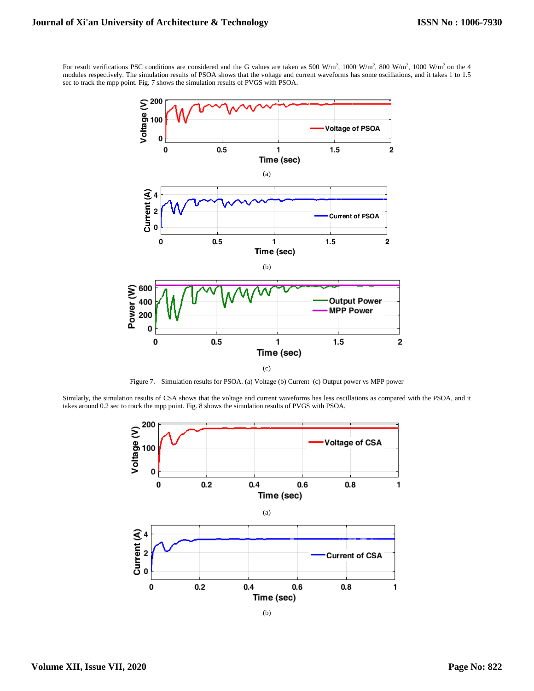For result verifications PSC conditions are considered and the G values are taken as 500 W/m<sup>2</sup>, 1000 W/m<sup>2</sup>, 800 W/m<sup>2</sup>, 1000 W/m<sup>2</sup> on the 4 modules respectively. The simulation results of PSOA shows that the voltage and current waveforms has some oscillations, and it takes 1 to 1.5 sec to track the mpp point. Fig. 7 shows the simulation results of PVGS with PSOA.



Figure 7. Simulation results for PSOA. (a) Voltage (b) Current (c) Output power vs MPP power

Similarly, the simulation results of CSA shows that the voltage and current waveforms has less oscillations as compared with the PSOA, and it takes around 0.2 sec to track the mpp point. Fig. 8 shows the simulation results of PVGS with PSOA.